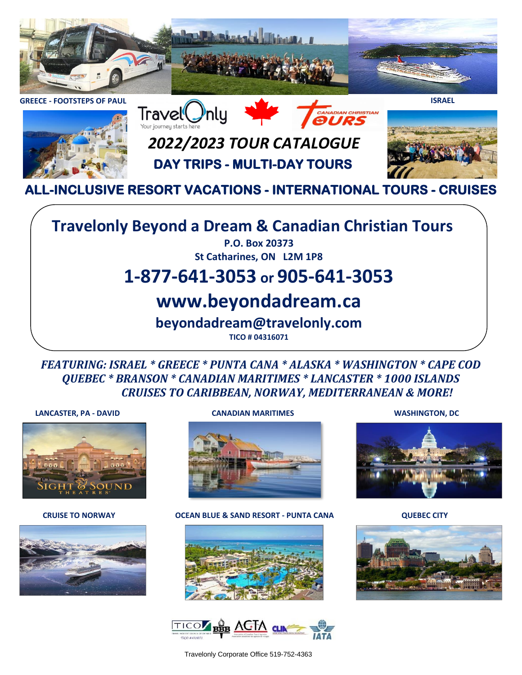



# *2022/2023 TOUR CATALOGUE* **DAY TRIPS - MULTI-DAY TOURS**



**ALL-INCLUSIVE RESORT VACATIONS - INTERNATIONAL TOURS - CRUISES**

### **Travelonly Beyond a Dream & Canadian Christian Tours**

**P.O. Box 20373 St Catharines, ON L2M 1P8**

### **1-877-641-3053 or 905-641-3053**

### **www.beyondadream.ca**

**beyondadream@travelonly.com**

**TICO # 04316071**

*FEATURING: ISRAEL \* GREECE \* PUNTA CANA \* ALASKA \* WASHINGTON \* CAPE COD QUEBEC \* BRANSON \* CANADIAN MARITIMES \* LANCASTER \* 1000 ISLANDS CRUISES TO CARIBBEAN, NORWAY, MEDITERRANEAN & MORE!*

#### **LANCASTER, PA - DAVID CANADIAN MARITIMES WASHINGTON, DC**







**CRUISE TO NORWAY OCEAN BLUE & SAND RESORT - PUNTA CANA QUEBEC CITY**









Travelonly Corporate Office 519-752-4363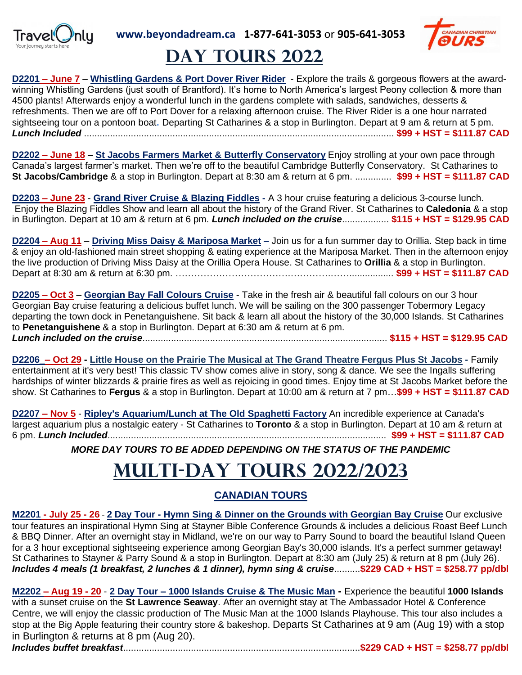



## **Day TOURS 2022**

**D2201 – June 7** – **Whistling Gardens & Port Dover River Rider** - Explore the trails & gorgeous flowers at the awardwinning Whistling Gardens (just south of Brantford). It's home to North America's largest Peony collection & more than 4500 plants! Afterwards enjoy a wonderful lunch in the gardens complete with salads, sandwiches, desserts & refreshments. Then we are off to Port Dover for a relaxing afternoon cruise. The River Rider is a one hour narrated sightseeing tour on a pontoon boat**.** Departing St Catharines & a stop in Burlington. Depart at 9 am & return at 5 pm. *Lunch Included* ....................................................................................................................... **\$99 + HST = \$111.87 CAD**

**D2202 – June 18** – **St Jacobs Farmers Market & Butterfly Conservatory** Enjoy strolling at your own pace through Canada's largest farmer's market. Then we're off to the beautiful Cambridge Butterfly Conservatory. St Catharines to **St Jacobs/Cambridge** & a stop in Burlington. Depart at 8:30 am & return at 6 pm. .............. **\$99 + HST = \$111.87 CAD**

**D2203 – June 23** - **Grand River Cruise & Blazing Fiddles -** A 3 hour cruise featuring a delicious 3-course lunch. Enjoy the Blazing Fiddles Show and learn all about the history of the Grand River. St Catharines to **Caledonia** & a stop in Burlington. Depart at 10 am & return at 6 pm. *Lunch included on the cruise*.................. **\$115 + HST = \$129.95 CAD**

**D2204 – Aug 11** – **Driving Miss Daisy & Mariposa Market –** Join us for a fun summer day to Orillia. Step back in time & enjoy an old-fashioned main street shopping & eating experience at the Mariposa Market. Then in the afternoon enjoy the live production of Driving Miss Daisy at the Orillia Opera House. St Catharines to **Orillia** & a stop in Burlington. Depart at 8:30 am & return at 6:30 pm. ……………………………….………….……................. **\$99 + HST = \$111.87 CAD**

**D2205 – Oct 3** – **Georgian Bay Fall Colours Cruise** - Take in the fresh air & beautiful fall colours on our 3 hour Georgian Bay cruise featuring a delicious buffet lunch. We will be sailing on the 300 passenger Tobermory Legacy departing the town dock in Penetanguishene. Sit back & learn all about the history of the 30,000 Islands. St Catharines to **Penetanguishene** & a stop in Burlington. Depart at 6:30 am & return at 6 pm. *Lunch included on the cruise*.............................................................................................. **\$115 + HST = \$129.95 CAD**

**D2206\_– Oct 29 - Little House on the Prairie The Musical at The Grand Theatre Fergus Plus St Jacobs -** Family entertainment at it's very best! This classic TV show comes alive in story, song & dance. We see the Ingalls suffering hardships of winter blizzards & prairie fires as well as rejoicing in good times. Enjoy time at St Jacobs Market before the show. St Catharines to **Fergus** & a stop in Burlington. Depart at 10:00 am & return at 7 pm…**\$99 + HST = \$111.87 CAD**

**D2207 – Nov 5** - **Ripley's Aquarium/Lunch at The Old Spaghetti Factory** An incredible experience at Canada's largest aquarium plus a nostalgic eatery - St Catharines to **Toronto** & a stop in Burlington. Depart at 10 am & return at 6 pm. *Lunch Included*........................................................................................................... **\$99 + HST = \$111.87 CAD**

*MORE DAY TOURS TO BE ADDED DEPENDING ON THE STATUS OF THE PANDEMIC*

# **Multi-day tOURS 2022/2023**

### **CANADIAN TOURS**

**M2201 - July 25 - 26** - **2 Day Tour - Hymn Sing & Dinner on the Grounds with Georgian Bay Cruise** Our exclusive tour features an inspirational Hymn Sing at Stayner Bible Conference Grounds & includes a delicious Roast Beef Lunch & BBQ Dinner. After an overnight stay in Midland, we're on our way to Parry Sound to board the beautiful Island Queen for a 3 hour exceptional sightseeing experience among Georgian Bay's 30,000 islands. It's a perfect summer getaway! St Catharines to Stayner & Parry Sound & a stop in Burlington. Depart at 8:30 am (July 25) & return at 8 pm (July 26). *Includes 4 meals (1 breakfast, 2 lunches & 1 dinner), hymn sing & cruise*..........**\$229 CAD + HST = \$258.77 pp/dbl**

**M2202 – Aug 19 - 20** - **2 Day Tour – 1000 Islands Cruise & The Music Man -** Experience the beautiful **1000 Islands** with a sunset cruise on the **St Lawrence Seaway**. After an overnight stay at The Ambassador Hotel & Conference Centre, we will enjoy the classic production of The Music Man at the 1000 Islands Playhouse. This tour also includes a stop at the Big Apple featuring their country store & bakeshop. Departs St Catharines at 9 am (Aug 19) with a stop in Burlington & returns at 8 pm (Aug 20).

*Includes buffet breakfast*...........................................................................................**\$229 CAD + HST = \$258.77 pp/dbl**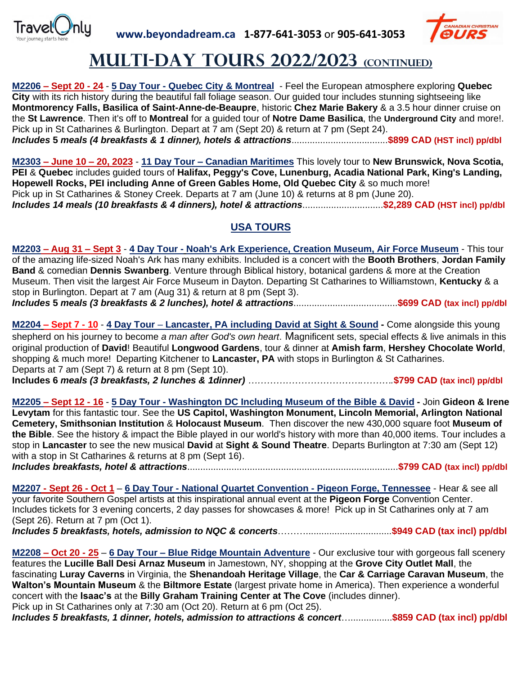



### **Multi-day tOURS 2022/2023 (continued)**

**M2206 – Sept 20 - 24** - **5 Day Tour - Quebec City & Montreal** - Feel the European atmosphere exploring **Quebec City** with its rich history during the beautiful fall foliage season. Our guided tour includes stunning sightseeing like **Montmorency Falls, Basilica of Saint-Anne-de-Beaupre**, historic **Chez Marie Bakery** & a 3.5 hour dinner cruise on the **St Lawrence**. Then it's off to **Montreal** for a guided tour of **Notre Dame Basilica**, the **Underground City** and more!. Pick up in St Catharines & Burlington. Depart at 7 am (Sept 20) & return at 7 pm (Sept 24). *Includes* **5** *meals (4 breakfasts & 1 dinner), hotels & attractions*.....................................**\$899 CAD (HST incl) pp/dbl**

**M2303 – June 10 – 20, 2023** - **11 Day Tour – Canadian Maritimes** This lovely tour to **New Brunswick, Nova Scotia, PEI** & **Quebec** includes guided tours of **Halifax, Peggy's Cove, Lunenburg, Acadia National Park, King's Landing, Hopewell Rocks, PEI including Anne of Green Gables Home, Old Quebec City** & so much more! Pick up in St Catharines & Stoney Creek. Departs at 7 am (June 10) & returns at 8 pm (June 20). *Includes 14 meals (10 breakfasts & 4 dinners), hotel & attractions*...............................**\$2,289 CAD (HST incl) pp/dbl**

### **USA TOURS**

**M2203 – Aug 31 – Sept 3** - **4 Day Tour - Noah's Ark Experience, Creation Museum, Air Force Museum** - This tour of the amazing life-sized Noah's Ark has many exhibits. Included is a concert with the **Booth Brothers**, **Jordan Family Band** & comedian **Dennis Swanberg**. Venture through Biblical history, botanical gardens & more at the Creation Museum. Then visit the largest Air Force Museum in Dayton. Departing St Catharines to Williamstown, **Kentucky** & a stop in Burlington. Depart at 7 am (Aug 31) & return at 8 pm (Sept 3). *Includes* **5** *meals (3 breakfasts & 2 lunches), hotel & attractions*........................................**\$699 CAD (tax incl) pp/dbl**

**M2204 – Sept 7 - 10** - **4 Day Tour** – **Lancaster, PA including David at Sight & Sound -** Come alongside this young shepherd on his journey to become *a man after God's own heart*. Magnificent sets, special effects & live animals in this original production of **David**! Beautiful **Longwood Gardens**, tour & dinner at **Amish farm**, **Hershey Chocolate World**, shopping & much more! Departing Kitchener to **Lancaster, PA** with stops in Burlington & St Catharines. Departs at 7 am (Sept 7) & return at 8 pm (Sept 10). **Includes 6** *meals (3 breakfasts, 2 lunches & 1dinner) ……………………………….……….***\$799 CAD (tax incl) pp/dbl**

**M2205 – Sept 12 - 16** - **5 Day Tour - Washington DC Including Museum of the Bible & David -** Join **Gideon & Irene Levytam** for this fantastic tour. See the **US Capitol, Washington Monument, Lincoln Memorial, Arlington National Cemetery, Smithsonian Institution** & **Holocaust Museum**. Then discover the new 430,000 square foot **Museum of the Bible**. See the history & impact the Bible played in our world's history with more than 40,000 items. Tour includes a stop in **Lancaster** to see the new musical **David** at **Sight & Sound Theatre**. Departs Burlington at 7:30 am (Sept 12) with a stop in St Catharines & returns at 8 pm (Sept 16).

*Includes breakfasts, hotel & attractions*.................................................................................**\$799 CAD (tax incl) pp/dbl**

**M2207 - Sept 26 - Oct 1** – **6 Day Tour - National Quartet Convention - Pigeon Forge, Tennessee** - Hear & see all your favorite Southern Gospel artists at this inspirational annual event at the **Pigeon Forge** Convention Center. Includes tickets for 3 evening concerts, 2 day passes for showcases & more! Pick up in St Catharines only at 7 am (Sept 26). Return at 7 pm (Oct 1).

*Includes 5 breakfasts, hotels, admission to NQC & concerts*……….................................**\$949 CAD (tax incl) pp/dbl**

**M2208 – Oct 20 - 25** – **6 Day Tour – Blue Ridge Mountain Adventure** - Our exclusive tour with gorgeous fall scenery features the **Lucille Ball Desi Arnaz Museum** in Jamestown, NY, shopping at the **Grove City Outlet Mall**, the fascinating **Luray Caverns** in Virginia, the **Shenandoah Heritage Village**, the **Car & Carriage Caravan Museum**, the **Walton's Mountain Museum** & the **Biltmore Estate** (largest private home in America). Then experience a wonderful concert with the **Isaac's** at the **Billy Graham Training Center at The Cove** (includes dinner). Pick up in St Catharines only at 7:30 am (Oct 20). Return at 6 pm (Oct 25).

*Includes 5 breakfasts, 1 dinner, hotels, admission to attractions & concert*…................**\$859 CAD (tax incl) pp/dbl**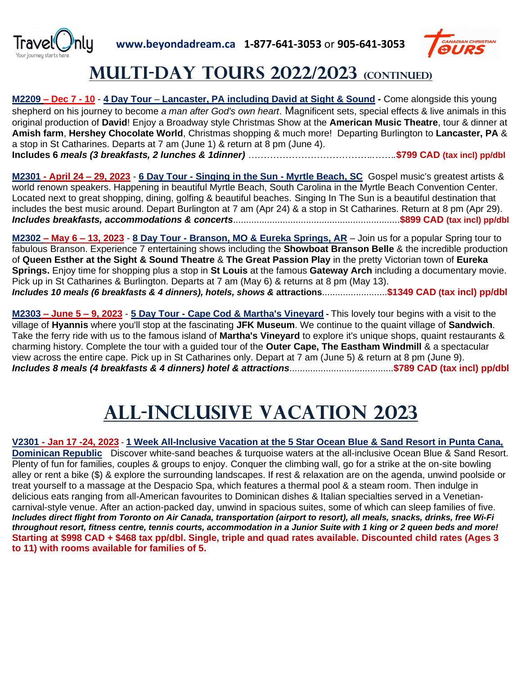



## **Multi-day tOURS 2022/2023 (continued)**

**M2209 – Dec 7 - 10** - **4 Day Tour** – **Lancaster, PA including David at Sight & Sound -** Come alongside this young shepherd on his journey to become *a man after God's own heart*. Magnificent sets, special effects & live animals in this original production of **David**! Enjoy a Broadway style Christmas Show at the **American Music Theatre**, tour & dinner at **Amish farm**, **Hershey Chocolate World**, Christmas shopping & much more! Departing Burlington to **Lancaster, PA** & a stop in St Catharines. Departs at 7 am (June 1) & return at 8 pm (June 4). **Includes 6** *meals (3 breakfasts, 2 lunches & 1dinner) …………………………………..…….***\$799 CAD (tax incl) pp/dbl**

**M2301 - April 24 – 29, 2023** - **6 Day Tour - Singing in the Sun - Myrtle Beach, SC** Gospel music's greatest artists & world renown speakers. Happening in beautiful Myrtle Beach, South Carolina in the Myrtle Beach Convention Center. Located next to great shopping, dining, golfing & beautiful beaches. Singing In The Sun is a beautiful destination that includes the best music around. Depart Burlington at 7 am (Apr 24) & a stop in St Catharines. Return at 8 pm (Apr 29). *Includes breakfasts, accommodations & concerts*................................................................**\$899 CAD (tax incl) pp/dbl**

**M2302 – May 6 – 13, 2023** - **8 Day Tour - Branson, MO & Eureka Springs, AR** – Join us for a popular Spring tour to fabulous Branson. Experience 7 entertaining shows including the **Showboat Branson Belle** & the incredible production of **Queen Esther at the Sight & Sound Theatre** & **The Great Passion Play** in the pretty Victorian town of **Eureka Springs.** Enjoy time for shopping plus a stop in **St Louis** at the famous **Gateway Arch** including a documentary movie. Pick up in St Catharines & Burlington. Departs at 7 am (May 6) & returns at 8 pm (May 13). *Includes 10 meals (6 breakfasts & 4 dinners), hotels, shows &* **attractions**.........................**\$1349 CAD (tax incl) pp/dbl**

**M2303 – June 5 – 9, 2023** - **5 Day Tour - Cape Cod & Martha's Vineyard -** This lovely tour begins with a visit to the village of **Hyannis** where you'll stop at the fascinating **JFK Museum**. We continue to the quaint village of **Sandwich**. Take the ferry ride with us to the famous island of **Martha's Vineyard** to explore it's unique shops, quaint restaurants & charming history. Complete the tour with a guided tour of the **Outer Cape, The Eastham Windmill** & a spectacular view across the entire cape. Pick up in St Catharines only. Depart at 7 am (June 5) & return at 8 pm (June 9). *Includes 8 meals (4 breakfasts & 4 dinners) hotel & attractions*........................................**\$789 CAD (tax incl) pp/dbl** 

# **ALL-INCLUSIVE VACATION 2023**

**V2301 - Jan 17 -24, 2023** - **1 Week All-Inclusive Vacation at the 5 Star Ocean Blue & Sand Resort in Punta Cana, Dominican Republic** Discover white-sand beaches & turquoise waters at the all-inclusive Ocean Blue & Sand Resort. Plenty of fun for families, couples & groups to enjoy. Conquer the climbing wall, go for a strike at the on-site bowling alley or rent a bike (\$) & explore the surrounding landscapes. If rest & relaxation are on the agenda, unwind poolside or treat yourself to a massage at the Despacio Spa, which features a thermal pool & a steam room. Then indulge in delicious eats ranging from all-American favourites to Dominican dishes & Italian specialties served in a Venetiancarnival-style venue. After an action-packed day, unwind in spacious suites, some of which can sleep families of five. *Includes direct flight from Toronto on Air Canada, transportation (airport to resort), all meals, snacks, drinks, free Wi-Fi throughout resort, fitness centre, tennis courts, accommodation in a Junior Suite with 1 king or 2 queen beds and more!* **Starting at \$998 CAD + \$468 tax pp/dbl. Single, triple and quad rates available. Discounted child rates (Ages 3 to 11) with rooms available for families of 5.**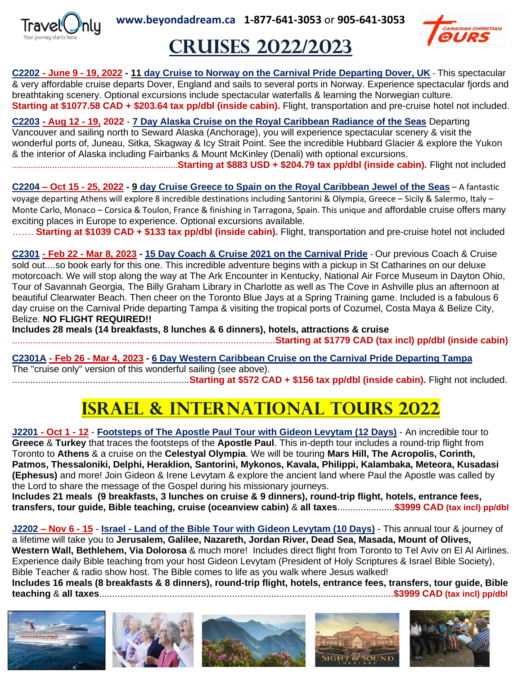

**www.beyondadream.ca 1-877-641-3053** or **905-641-3053**



# **CRUISES 2022/2023**

**C2202 - June 9 - 19, 2022 - 11 day Cruise to Norway on the Carnival Pride Departing Dover, UK** - This spectacular & very affordable cruise departs Dover, England and sails to several ports in Norway. Experience spectacular fjords and breathtaking scenery. Optional excursions include spectacular waterfalls & learning the Norwegian culture. **Starting at \$1077.58 CAD + \$203.64 tax pp/dbl (inside cabin).** Flight, transportation and pre-cruise hotel not included.

**C2203 - Aug 12 - 19, 2022** - **7 Day Alaska Cruise on the Royal Caribbean Radiance of the Seas** Departing Vancouver and sailing north to Seward Alaska (Anchorage), you will experience spectacular scenery & visit the

wonderful ports of, Juneau, Sitka, Skagway & Icy Strait Point. See the incredible Hubbard Glacier & explore the Yukon & the interior of Alaska including Fairbanks & Mount McKinley (Denali) with optional excursions.

......................................................................**Starting at \$883 USD + \$204.79 tax pp/dbl (inside cabin).** Flight not included

**C2204 – Oct 15 - 25, 2022 - 9 day Cruise Greece to Spain on the Royal Caribbean Jewel of the Seas** – A fantastic voyage departing Athens will explore 8 incredible destinations including Santorini & Olympia, Greece – Sicily & Salermo, Italy – Monte Carlo, Monaco – Corsica & Toulon, France & finishing in Tarragona, Spain. This unique and affordable cruise offers many exciting places in Europe to experience. Optional excursions available.

……. **Starting at \$1039 CAD + \$133 tax pp/dbl (inside cabin).** Flight, transportation and pre-cruise hotel not included

**C2301 - Feb 22 - Mar 8, 2023 - 15 Day Coach & Cruise 2021 on the Carnival Pride** - Our previous Coach & Cruise sold out....so book early for this one. This incredible adventure begins with a pickup in St Catharines on our deluxe motorcoach. We will stop along the way at The Ark Encounter in Kentucky, National Air Force Museum in Dayton Ohio, Tour of Savannah Georgia, The Billy Graham Library in Charlotte as well as The Cove in Ashville plus an afternoon at beautiful Clearwater Beach. Then cheer on the Toronto Blue Jays at a Spring Training game. Included is a fabulous 6 day cruise on the Carnival Pride departing Tampa & visiting the tropical ports of Cozumel, Costa Maya & Belize City, Belize. **NO FLIGHT REQUIRED!!** 

**Includes 28 meals (14 breakfasts, 8 lunches & 6 dinners), hotels, attractions & cruise** 

.....................................................................................................**Starting at \$1779 CAD (tax incl) pp/dbl (inside cabin)**

### **C2301A - Feb 26 - Mar 4, 2023 - 6 Day Western Caribbean Cruise on the Carnival Pride Departing Tampa**

The "cruise only" version of this wonderful sailing (see above).

....................................................................**Starting at \$572 CAD + \$156 tax pp/dbl (inside cabin).** Flight not included.

# **ISRAEL & INTERNATIONAL TOURS 2022**

**J2201 - Oct 1 - 12** - **Footsteps of The Apostle Paul Tour with Gideon Levytam (12 Days)** - An incredible tour to **Greece** & **Turkey** that traces the footsteps of the **Apostle Paul**. This in-depth tour includes a round-trip flight from Toronto to **Athens** & a cruise on the **Celestyal Olympia**. We will be touring **Mars Hill, The Acropolis, Corinth, Patmos, Thessaloniki, Delphi, Heraklion, Santorini, Mykonos, Kavala, Philippi, Kalambaka, Meteora, Kusadasi (Ephesus)** and more! Join Gideon & Irene Levytam & explore the ancient land where Paul the Apostle was called by the Lord to share the message of the Gospel during his missionary journeys.

**Includes 21 meals (9 breakfasts, 3 lunches on cruise & 9 dinners), round-trip flight, hotels, entrance fees, transfers, tour guide, Bible teaching, cruise (oceanview cabin)** & **all taxes**......................**\$3999 CAD (tax incl) pp/dbl**

**J2202 – Nov 6 - 15** - **Israel - Land of the Bible Tour with Gideon Levytam (10 Days)** - This annual tour & journey of a lifetime will take you to **Jerusalem, Galilee, Nazareth, Jordan River, Dead Sea, Masada, Mount of Olives, Western Wall, Bethlehem, Via Dolorosa** & much more! Includes direct flight from Toronto to Tel Aviv on El Al Airlines. Experience daily Bible teaching from your host Gideon Levytam (President of Holy Scriptures & Israel Bible Society), Bible Teacher & radio show host. The Bible comes to life as you walk where Jesus walked! **Includes 16 meals (8 breakfasts & 8 dinners), round-trip flight, hotels, entrance fees, transfers, tour guide, Bible** 

**teaching** & **all taxes**.................................................................................................................**\$3999 CAD (tax incl) pp/dbl**